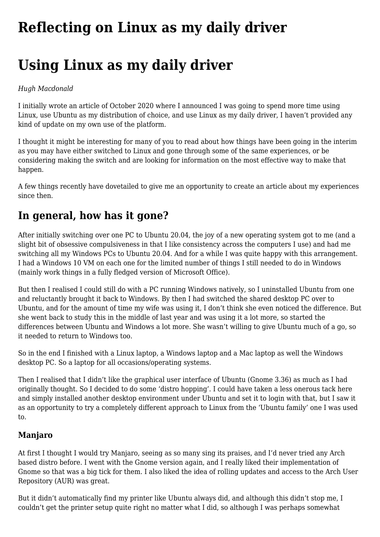# **[Reflecting on Linux as my daily driver](https://www.melbpc.org.au/reflecting-on-linux-as-my-daily-driver/)**

# **Using Linux as my daily driver**

### *Hugh Macdonald*

I initially wrote an article of October 2020 where I announced I was going to spend more time using Linux, use Ubuntu as my distribution of choice, and use Linux as my daily driver, I haven't provided any kind of update on my own use of the platform.

I thought it might be interesting for many of you to read about how things have been going in the interim as you may have either switched to Linux and gone through some of the same experiences, or be considering making the switch and are looking for information on the most effective way to make that happen.

A few things recently have dovetailed to give me an opportunity to create an article about my experiences since then.

# **In general, how has it gone?**

After initially switching over one PC to Ubuntu 20.04, the joy of a new operating system got to me (and a slight bit of obsessive compulsiveness in that I like consistency across the computers I use) and had me switching all my Windows PCs to Ubuntu 20.04. And for a while I was quite happy with this arrangement. I had a Windows 10 VM on each one for the limited number of things I still needed to do in Windows (mainly work things in a fully fledged version of Microsoft Office).

But then I realised I could still do with a PC running Windows natively, so I uninstalled Ubuntu from one and reluctantly brought it back to Windows. By then I had switched the shared desktop PC over to Ubuntu, and for the amount of time my wife was using it, I don't think she even noticed the difference. But she went back to study this in the middle of last year and was using it a lot more, so started the differences between Ubuntu and Windows a lot more. She wasn't willing to give Ubuntu much of a go, so it needed to return to Windows too.

So in the end I finished with a Linux laptop, a Windows laptop and a Mac laptop as well the Windows desktop PC. So a laptop for all occasions/operating systems.

Then I realised that I didn't like the graphical user interface of Ubuntu (Gnome 3.36) as much as I had originally thought. So I decided to do some 'distro hopping'. I could have taken a less onerous tack here and simply installed another desktop environment under Ubuntu and set it to login with that, but I saw it as an opportunity to try a completely different approach to Linux from the 'Ubuntu family' one I was used to.

## **Manjaro**

At first I thought I would try Manjaro, seeing as so many sing its praises, and I'd never tried any Arch based distro before. I went with the Gnome version again, and I really liked their implementation of Gnome so that was a big tick for them. I also liked the idea of rolling updates and access to the Arch User Repository (AUR) was great.

But it didn't automatically find my printer like Ubuntu always did, and although this didn't stop me, I couldn't get the printer setup quite right no matter what I did, so although I was perhaps somewhat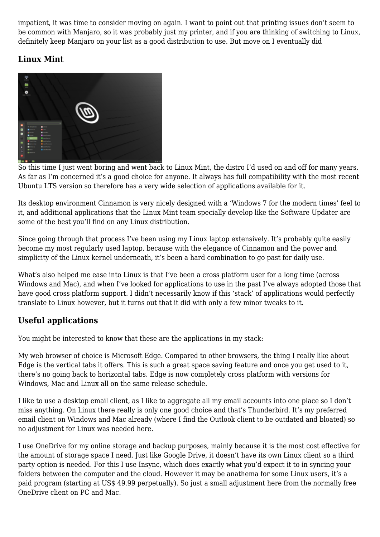impatient, it was time to consider moving on again. I want to point out that printing issues don't seem to be common with Manjaro, so it was probably just my printer, and if you are thinking of switching to Linux, definitely keep Manjaro on your list as a good distribution to use. But move on I eventually did

# **Linux Mint**



So this time I just went boring and went back to Linux Mint, the distro I'd used on and off for many years. As far as I'm concerned it's a good choice for anyone. It always has full compatibility with the most recent Ubuntu LTS version so therefore has a very wide selection of applications available for it.

Its desktop environment Cinnamon is very nicely designed with a 'Windows 7 for the modern times' feel to it, and additional applications that the Linux Mint team specially develop like the Software Updater are some of the best you'll find on any Linux distribution.

Since going through that process I've been using my Linux laptop extensively. It's probably quite easily become my most regularly used laptop, because with the elegance of Cinnamon and the power and simplicity of the Linux kernel underneath, it's been a hard combination to go past for daily use.

What's also helped me ease into Linux is that I've been a cross platform user for a long time (across Windows and Mac), and when I've looked for applications to use in the past I've always adopted those that have good cross platform support. I didn't necessarily know if this 'stack' of applications would perfectly translate to Linux however, but it turns out that it did with only a few minor tweaks to it.

## **Useful applications**

You might be interested to know that these are the applications in my stack:

My web browser of choice is Microsoft Edge. Compared to other browsers, the thing I really like about Edge is the vertical tabs it offers. This is such a great space saving feature and once you get used to it, there's no going back to horizontal tabs. Edge is now completely cross platform with versions for Windows, Mac and Linux all on the same release schedule.

I like to use a desktop email client, as I like to aggregate all my email accounts into one place so I don't miss anything. On Linux there really is only one good choice and that's Thunderbird. It's my preferred email client on Windows and Mac already (where I find the Outlook client to be outdated and bloated) so no adjustment for Linux was needed here.

I use OneDrive for my online storage and backup purposes, mainly because it is the most cost effective for the amount of storage space I need. Just like Google Drive, it doesn't have its own Linux client so a third party option is needed. For this I use Insync, which does exactly what you'd expect it to in syncing your folders between the computer and the cloud. However it may be anathema for some Linux users, it's a paid program (starting at US\$ 49.99 perpetually). So just a small adjustment here from the normally free OneDrive client on PC and Mac.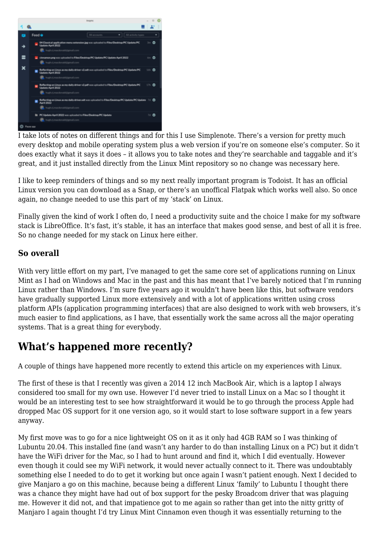

I take lots of notes on different things and for this I use Simplenote. There's a version for pretty much every desktop and mobile operating system plus a web version if you're on someone else's computer. So it does exactly what it says it does – it allows you to take notes and they're searchable and taggable and it's great, and it just installed directly from the Linux Mint repository so no change was necessary here.

I like to keep reminders of things and so my next really important program is Todoist. It has an official Linux version you can download as a Snap, or there's an unoffical Flatpak which works well also. So once again, no change needed to use this part of my 'stack' on Linux.

Finally given the kind of work I often do, I need a productivity suite and the choice I make for my software stack is LibreOffice. It's fast, it's stable, it has an interface that makes good sense, and best of all it is free. So no change needed for my stack on Linux here either.

# **So overall**

With very little effort on my part, I've managed to get the same core set of applications running on Linux Mint as I had on Windows and Mac in the past and this has meant that I've barely noticed that I'm running Linux rather than Windows. I'm sure five years ago it wouldn't have been like this, but software vendors have gradually supported Linux more extensively and with a lot of applications written using cross platform APIs (application programming interfaces) that are also designed to work with web browsers, it's much easier to find applications, as I have, that essentially work the same across all the major operating systems. That is a great thing for everybody.

# **What's happened more recently?**

A couple of things have happened more recently to extend this article on my experiences with Linux.

The first of these is that I recently was given a 2014 12 inch MacBook Air, which is a laptop I always considered too small for my own use. However I'd never tried to install Linux on a Mac so I thought it would be an interesting test to see how straightforward it would be to go through the process Apple had dropped Mac OS support for it one version ago, so it would start to lose software support in a few years anyway.

My first move was to go for a nice lightweight OS on it as it only had 4GB RAM so I was thinking of Lubuntu 20.04. This installed fine (and wasn't any harder to do than installing Linux on a PC) but it didn't have the WiFi driver for the Mac, so I had to hunt around and find it, which I did eventually. However even though it could see my WiFi network, it would never actually connect to it. There was undoubtably something else I needed to do to get it working but once again I wasn't patient enough. Next I decided to give Manjaro a go on this machine, because being a different Linux 'family' to Lubuntu I thought there was a chance they might have had out of box support for the pesky Broadcom driver that was plaguing me. However it did not, and that impatience got to me again so rather than get into the nitty gritty of Manjaro I again thought I'd try Linux Mint Cinnamon even though it was essentially returning to the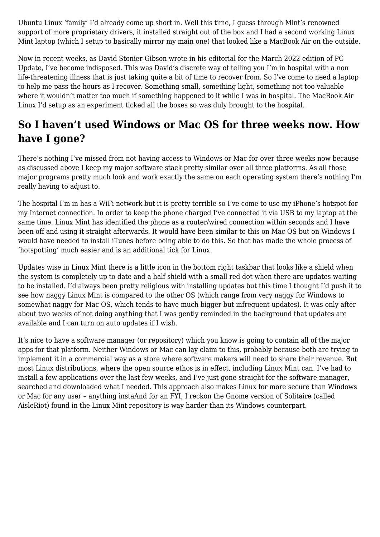Ubuntu Linux 'family' I'd already come up short in. Well this time, I guess through Mint's renowned support of more proprietary drivers, it installed straight out of the box and I had a second working Linux Mint laptop (which I setup to basically mirror my main one) that looked like a MacBook Air on the outside.

Now in recent weeks, as David Stonier-Gibson wrote in his editorial for the March 2022 edition of PC Update, I've become indisposed. This was David's discrete way of telling you I'm in hospital with a non life-threatening illness that is just taking quite a bit of time to recover from. So I've come to need a laptop to help me pass the hours as I recover. Something small, something light, something not too valuable where it wouldn't matter too much if something happened to it while I was in hospital. The MacBook Air Linux I'd setup as an experiment ticked all the boxes so was duly brought to the hospital.

# **So I haven't used Windows or Mac OS for three weeks now. How have I gone?**

There's nothing I've missed from not having access to Windows or Mac for over three weeks now because as discussed above I keep my major software stack pretty similar over all three platforms. As all those major programs pretty much look and work exactly the same on each operating system there's nothing I'm really having to adjust to.

The hospital I'm in has a WiFi network but it is pretty terrible so I've come to use my iPhone's hotspot for my Internet connection. In order to keep the phone charged I've connected it via USB to my laptop at the same time. Linux Mint has identified the phone as a router/wired connection within seconds and I have been off and using it straight afterwards. It would have been similar to this on Mac OS but on Windows I would have needed to install iTunes before being able to do this. So that has made the whole process of 'hotspotting' much easier and is an additional tick for Linux.

Updates wise in Linux Mint there is a little icon in the bottom right taskbar that looks like a shield when the system is completely up to date and a half shield with a small red dot when there are updates waiting to be installed. I'd always been pretty religious with installing updates but this time I thought I'd push it to see how naggy Linux Mint is compared to the other OS (which range from very naggy for Windows to somewhat naggy for Mac OS, which tends to have much bigger but infrequent updates). It was only after about two weeks of not doing anything that I was gently reminded in the background that updates are available and I can turn on auto updates if I wish.

It's nice to have a software manager (or repository) which you know is going to contain all of the major apps for that platform. Neither Windows or Mac can lay claim to this, probably because both are trying to implement it in a commercial way as a store where software makers will need to share their revenue. But most Linux distributions, where the open source ethos is in effect, including Linux Mint can. I've had to install a few applications over the last few weeks, and I've just gone straight for the software manager, searched and downloaded what I needed. This approach also makes Linux for more secure than Windows or Mac for any user – anything instaAnd for an FYI, I reckon the Gnome version of Solitaire (called AisleRiot) found in the Linux Mint repository is way harder than its Windows counterpart.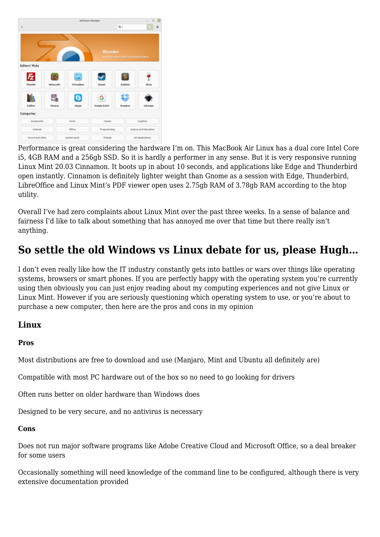

Performance is great considering the hardware I'm on. This MacBook Air Linux has a dual core Intel Core i5, 4GB RAM and a 256gb SSD. So it is hardly a performer in any sense. But it is very responsive running Linux Mint 20.03 Cinnamon. It boots up in about 10 seconds, and applications like Edge and Thunderbird open instantly. Cinnamon is definitely lighter weight than Gnome as a session with Edge, Thunderbird, LibreOffice and Linux Mint's PDF viewer open uses 2.75gb RAM of 3.78gb RAM according to the htop utility.

Overall I've had zero complaints about Linux Mint over the past three weeks. In a sense of balance and fairness I'd like to talk about something that has annoyed me over that time but there really isn't anything.

# **So settle the old Windows vs Linux debate for us, please Hugh…**

I don't even really like how the IT industry constantly gets into battles or wars over things like operating systems, browsers or smart phones. If you are perfectly happy with the operating system you're currently using then obviously you can just enjoy reading about my computing experiences and not give Linux or Linux Mint. However if you are seriously questioning which operating system to use, or you're about to purchase a new computer, then here are the pros and cons in my opinion

### **Linux**

#### **Pros**

Most distributions are free to download and use (Manjaro, Mint and Ubuntu all definitely are)

Compatible with most PC hardware out of the box so no need to go looking for drivers

Often runs better on older hardware than Windows does

Designed to be very secure, and no antivirus is necessary

#### **Cons**

Does not run major software programs like Adobe Creative Cloud and Microsoft Office, so a deal breaker for some users

Occasionally something will need knowledge of the command line to be configured, although there is very extensive documentation provided